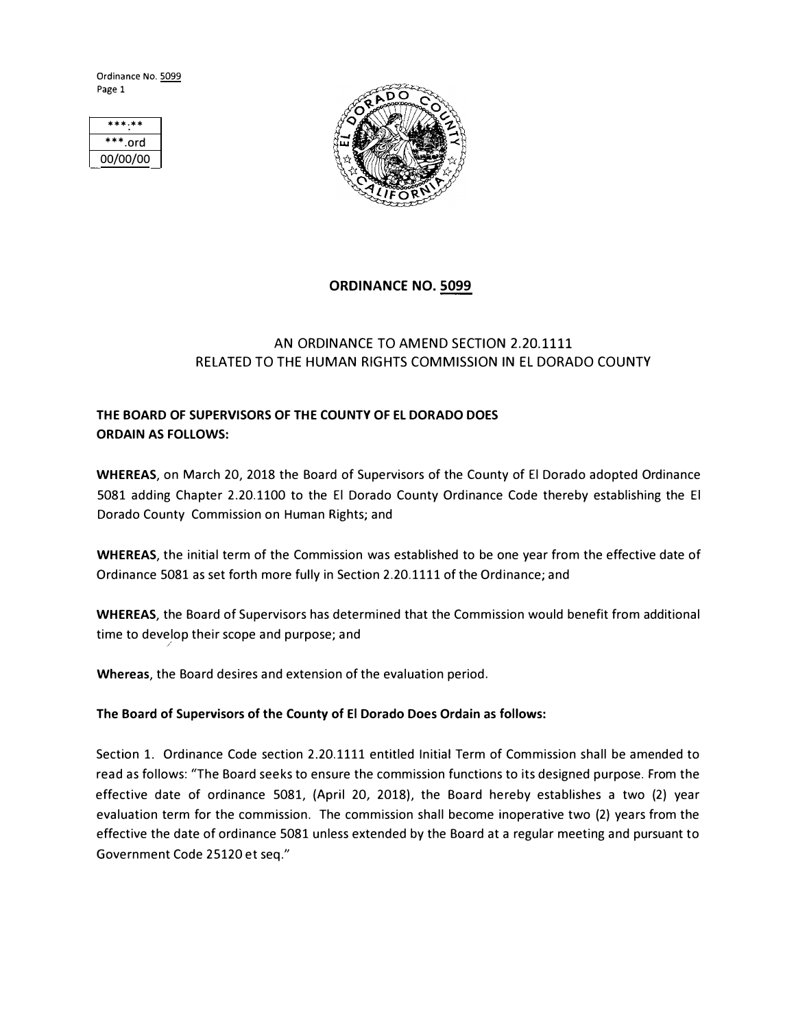Ordinance No. 5099 Page 1

| ***.**     |
|------------|
| $***.$ ord |
| 00/00/00   |



### **ORDINANCE NO. 5099**

## AN ORDINANCE TO AMEND SECTION 2.20.1111 RELATED TO THE HUMAN RIGHTS COMMISSION IN EL DORADO COUNTY

# **THE BOARD OF SUPERVISORS OF THE COUNTY OF EL DORADO DOES ORDAIN AS FOLLOWS:**

**WHEREAS,** on March 20, 2018 the Board of Supervisors of the County of El Dorado adopted Ordinance 5081 adding Chapter 2.20.1100 to the El Dorado County Ordinance Code thereby establishing the El Dorado County Commission on Human Rights; and

**WHEREAS,** the initial term of the Commission was established to be one year from the effective date of Ordinance 5081 as set forth more fully in Section 2.20.1111 of the Ordinance; and

**WHEREAS,** the Board of Supervisors has determined that the Commission would benefit from additional time to develop their scope and purpose; and */* 

**Whereas,** the Board desires and extension of the evaluation period.

#### **The Board of Supervisors of the County of El Dorado Does Ordain as follows:**

Section 1. Ordinance Code section 2.20.1111 entitled Initial Term of Commission shall be amended to read as follows: "The Board seeks to ensure the commission functions to its designed purpose. From the effective date of ordinance 5081, (April 20, 2018), the Board hereby establishes a two (2) year evaluation term for the commission. The commission shall become inoperative two (2) years from the effective the date of ordinance 5081 unless extended by the Board at a regular meeting and pursuant to Government Code 25120 et seq."